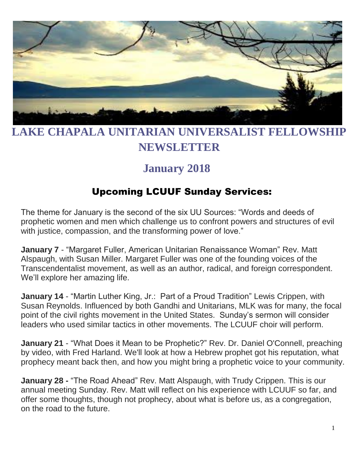

# **LAKE CHAPALA UNITARIAN UNIVERSALIST FELLOWSHIP NEWSLETTER**

# **January 2018**

### Upcoming LCUUF Sunday Services:

The theme for January is the second of the six UU Sources: "Words and deeds of prophetic women and men which challenge us to confront powers and structures of evil with justice, compassion, and the transforming power of love."

**January 7** - "Margaret Fuller, American Unitarian Renaissance Woman" Rev. Matt Alspaugh, with Susan Miller. Margaret Fuller was one of the founding voices of the Transcendentalist movement, as well as an author, radical, and foreign correspondent. We'll explore her amazing life.

**January 14** - "Martin Luther King, Jr.: Part of a Proud Tradition" Lewis Crippen, with Susan Reynolds. Influenced by both Gandhi and Unitarians, MLK was for many, the focal point of the civil rights movement in the United States. Sunday's sermon will consider leaders who used similar tactics in other movements. The LCUUF choir will perform.

**January 21** - "What Does it Mean to be Prophetic?" Rev. Dr. Daniel O'Connell, preaching by video, with Fred Harland. We'll look at how a Hebrew prophet got his reputation, what prophecy meant back then, and how you might bring a prophetic voice to your community.

**January 28 -** "The Road Ahead" Rev. Matt Alspaugh, with Trudy Crippen. This is our annual meeting Sunday. Rev. Matt will reflect on his experience with LCUUF so far, and offer some thoughts, though not prophecy, about what is before us, as a congregation, on the road to the future.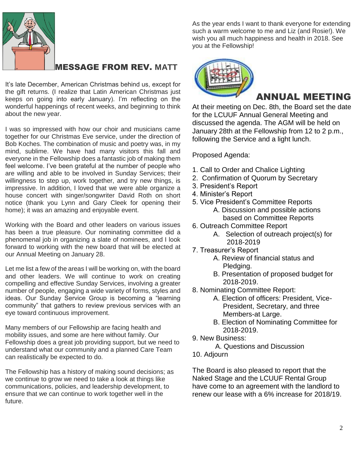

#### MESSAGE FROM REV. **MATT**

It's late December, American Christmas behind us, except for the gift returns. (I realize that Latin American Christmas just keeps on going into early January). I'm reflecting on the wonderful happenings of recent weeks, and beginning to think about the new year.

I was so impressed with how our choir and musicians came together for our Christmas Eve service, under the direction of Bob Koches. The combination of music and poetry was, in my mind, sublime. We have had many visitors this fall and everyone in the Fellowship does a fantastic job of making them feel welcome. I've been grateful at the number of people who are willing and able to be involved in Sunday Services; their willingness to step up, work together, and try new things, is impressive. In addition, I loved that we were able organize a house concert with singer/songwriter David Roth on short notice (thank you Lynn and Gary Cleek for opening their home); it was an amazing and enjoyable event.

Working with the Board and other leaders on various issues has been a true pleasure. Our nominating committee did a phenomenal job in organizing a slate of nominees, and I look forward to working with the new board that will be elected at our Annual Meeting on January 28.

Let me list a few of the areas I will be working on, with the board and other leaders. We will continue to work on creating compelling and effective Sunday Services, involving a greater number of people, engaging a wide variety of forms, styles and ideas. Our Sunday Service Group is becoming a "learning community" that gathers to review previous services with an eye toward continuous improvement.

Many members of our Fellowship are facing health and mobility issues, and some are here without family. Our Fellowship does a great job providing support, but we need to understand what our community and a planned Care Team can realistically be expected to do.

The Fellowship has a history of making sound decisions; as we continue to grow we need to take a look at things like communications, policies, and leadership development, to ensure that we can continue to work together well in the future.

As the year ends I want to thank everyone for extending such a warm welcome to me and Liz (and Rosie!). We wish you all much happiness and health in 2018. See you at the Fellowship!



#### ANNUAL MEETING

At their meeting on Dec. 8th, the Board set the date for the LCUUF Annual General Meeting and discussed the agenda. The AGM will be held on January 28th at the Fellowship from 12 to 2 p.m., following the Service and a light lunch.

Proposed Agenda:

- 1. Call to Order and Chalice Lighting
- 2. Confirmation of Quorum by Secretary
- 3. President's Report
- 4. Minister's Report
- 5. Vice President's Committee Reports
	- A. Discussion and possible actions based on Committee Reports
- 6. Outreach Committee Report
	- A. Selection of outreach project(s) for 2018-2019
- 7. Treasurer's Report
	- A. Review of financial status and Pledging.
	- B. Presentation of proposed budget for 2018-2019.
- 8. Nominating Committee Report:
	- A. Election of officers: President, Vice- President, Secretary, and three Members-at Large.
	- B. Election of Nominating Committee for 2018-2019.
- 9. New Business:

A. Questions and Discussion

10. Adjourn

The Board is also pleased to report that the Naked Stage and the LCUUF Rental Group have come to an agreement with the landlord to renew our lease with a 6% increase for 2018/19.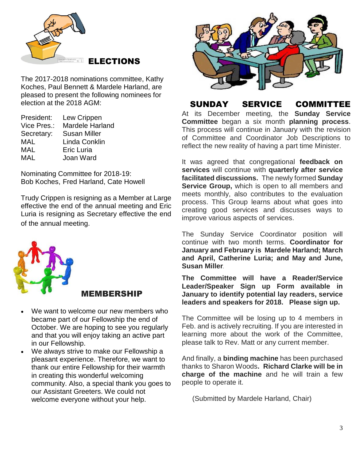

The 2017-2018 nominations committee, Kathy Koches, Paul Bennett & Mardele Harland, are pleased to present the following nominees for election at the 2018 AGM:

| President:  | Lew Crippen            |
|-------------|------------------------|
| Vice Pres.: | <b>Mardele Harland</b> |
| Secretary:  | <b>Susan Miller</b>    |
| MAL         | Linda Conklin          |
| <b>MAL</b>  | <b>Eric Luria</b>      |
| MAL         | Joan Ward              |

Nominating Committee for 2018-19: Bob Koches, Fred Harland, Cate Howell

Trudy Crippen is resigning as a Member at Large effective the end of the annual meeting and Eric Luria is resigning as Secretary effective the end of the annual meeting.



#### MEMBERSHIP

- We want to welcome our new members who became part of our Fellowship the end of October. We are hoping to see you regularly and that you will enjoy taking an active part in our Fellowship.
- We always strive to make our Fellowship a pleasant experience. Therefore, we want to thank our entire Fellowship for their warmth in creating this wonderful welcoming community. Also, a special thank you goes to our Assistant Greeters. We could not welcome everyone without your help.



SUNDAY SERVICE COMMITTEE

At its December meeting, the **Sunday Service Committee** began a six month **planning process**. This process will continue in January with the revision of Committee and Coordinator Job Descriptions to reflect the new reality of having a part time Minister.

It was agreed that congregational **feedback on services** will continue with **quarterly after service facilitated discussions.** The newly formed **Sunday Service Group,** which is open to all members and meets monthly, also contributes to the evaluation process. This Group learns about what goes into creating good services and discusses ways to improve various aspects of services.

The Sunday Service Coordinator position will continue with two month terms. **Coordinator for January and February is Mardele Harland; March and April, Catherine Luria; and May and June, Susan Miller.**

**The Committee will have a Reader/Service Leader/Speaker Sign up Form available in January to identify potential lay readers, service leaders and speakers for 2018. Please sign up.**

The Committee will be losing up to 4 members in Feb. and is actively recruiting. If you are interested in learning more about the work of the Committee, please talk to Rev. Matt or any current member.

And finally, a **binding machine** has been purchased thanks to Sharon Woods**. Richard Clarke will be in charge of the machine** and he will train a few people to operate it.

(Submitted by Mardele Harland, Chair)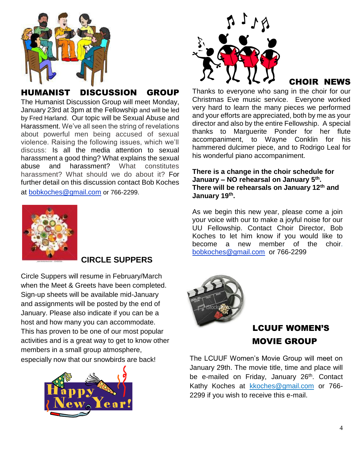

#### HUMANIST DISCUSSION GROUP

The Humanist Discussion Group will meet Monday, January 23rd at 3pm at the Fellowship and will be led by Fred Harland. Our topic will be Sexual Abuse and Harassment. We've all seen the string of revelations about powerful men being accused of sexual violence. Raising the following issues, which we'll discuss: Is all the media attention to sexual harassment a good thing? What explains the sexual abuse and harassment? What constitutes harassment? What should we do about it? For further detail on this discussion contact Bob Koches at [bobkoches@gmail.com](mailto:bobkoches@gmail.com) or 766-2299.

#### **CIRCLE SUPPERS**

Circle Suppers will resume in February/March when the Meet & Greets have been completed. Sign-up sheets will be available mid-January and assignments will be posted by the end of January. Please also indicate if you can be a host and how many you can accommodate. This has proven to be one of our most popular activities and is a great way to get to know other members in a small group atmosphere, especially now that our snowbirds are back!





#### CHOIR NEWS

Thanks to everyone who sang in the choir for our Christmas Eve music service. Everyone worked very hard to learn the many pieces we performed and your efforts are appreciated, both by me as your director and also by the entire Fellowship. A special thanks to Marguerite Ponder for her flute accompaniment, to Wayne Conklin for his hammered dulcimer piece, and to Rodrigo Leal for his wonderful piano accompaniment.

**There is a change in the choir schedule for January – NO rehearsal on January 5th . There will be rehearsals on January 12th and January 19th .**

As we begin this new year, please come a join your voice with our to make a joyful noise for our UU Fellowship. Contact Choir Director, Bob Koches to let him know if you would like to become a new member of the choir. [bobkoches@gmail.com](mailto:bobkoches@gmail.com) or 766-2299



### LCUUF WOMEN'S MOVIE GROUP

The LCUUF Women's Movie Group will meet on January 29th. The movie title, time and place will be e-mailed on Friday, January 26<sup>th</sup>. Contact Kathy Koches at [kkoches@gmail.com](mailto:kkoches@gmail.com) or 766-2299 if you wish to receive this e-mail.